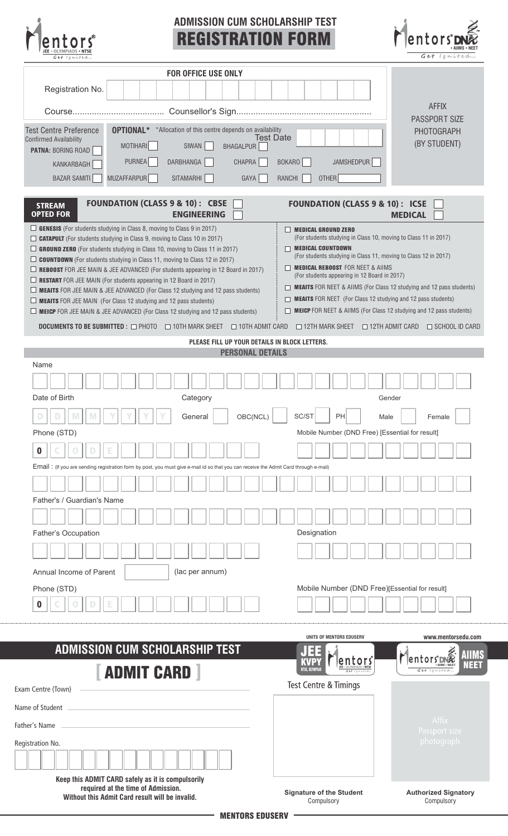| <b>ADMISSION CUM SCHOLARSHIP TEST</b><br><b>REGISTRATION FORM</b>                                                                                                                                                                                                                                                                                                                                                                                                                                                                                                                                                                                                                                                                                                                                         |                                                                                                                                                                                                                                                                                                                                                                                                                                                                                                                     | entoi<br>Get Ignited                      |
|-----------------------------------------------------------------------------------------------------------------------------------------------------------------------------------------------------------------------------------------------------------------------------------------------------------------------------------------------------------------------------------------------------------------------------------------------------------------------------------------------------------------------------------------------------------------------------------------------------------------------------------------------------------------------------------------------------------------------------------------------------------------------------------------------------------|---------------------------------------------------------------------------------------------------------------------------------------------------------------------------------------------------------------------------------------------------------------------------------------------------------------------------------------------------------------------------------------------------------------------------------------------------------------------------------------------------------------------|-------------------------------------------|
| <b>FOR OFFICE USE ONLY</b>                                                                                                                                                                                                                                                                                                                                                                                                                                                                                                                                                                                                                                                                                                                                                                                |                                                                                                                                                                                                                                                                                                                                                                                                                                                                                                                     |                                           |
| Registration No.                                                                                                                                                                                                                                                                                                                                                                                                                                                                                                                                                                                                                                                                                                                                                                                          |                                                                                                                                                                                                                                                                                                                                                                                                                                                                                                                     |                                           |
|                                                                                                                                                                                                                                                                                                                                                                                                                                                                                                                                                                                                                                                                                                                                                                                                           |                                                                                                                                                                                                                                                                                                                                                                                                                                                                                                                     | <b>AFFIX</b>                              |
|                                                                                                                                                                                                                                                                                                                                                                                                                                                                                                                                                                                                                                                                                                                                                                                                           |                                                                                                                                                                                                                                                                                                                                                                                                                                                                                                                     | PASSPORT SIZE                             |
| <b>OPTIONAL*</b> *Allocation of this centre depends on availability<br><b>Test Centre Preference</b><br><b>Confirmed Availability</b>                                                                                                                                                                                                                                                                                                                                                                                                                                                                                                                                                                                                                                                                     | <b>Test Date</b>                                                                                                                                                                                                                                                                                                                                                                                                                                                                                                    | <b>PHOTOGRAPH</b>                         |
| MOTIHARI<br>SIWAN<br><b>BHAGALPUR</b><br><b>PATNA: BORING ROAD</b>                                                                                                                                                                                                                                                                                                                                                                                                                                                                                                                                                                                                                                                                                                                                        |                                                                                                                                                                                                                                                                                                                                                                                                                                                                                                                     | (BY STUDENT)                              |
| PURNEA<br>DARBHANGA<br>CHAPRA<br>KANKARBAGH                                                                                                                                                                                                                                                                                                                                                                                                                                                                                                                                                                                                                                                                                                                                                               | JAMSHEDPUR<br>BOKARO                                                                                                                                                                                                                                                                                                                                                                                                                                                                                                |                                           |
| <b>MUZAFFARPUR</b><br><b>BAZAR SAMITI</b><br>SITAMARHI<br>GAYA                                                                                                                                                                                                                                                                                                                                                                                                                                                                                                                                                                                                                                                                                                                                            | OTHER<br>RANCHI                                                                                                                                                                                                                                                                                                                                                                                                                                                                                                     |                                           |
| <b>FOUNDATION (CLASS 9 &amp; 10): CBSE</b><br><b>STREAM</b><br><b>OPTED FOR</b><br><b>ENGINEERING</b>                                                                                                                                                                                                                                                                                                                                                                                                                                                                                                                                                                                                                                                                                                     | <b>FOUNDATION (CLASS 9 &amp; 10): ICSE</b>                                                                                                                                                                                                                                                                                                                                                                                                                                                                          | <b>MEDICAL</b>                            |
| $\Box$ GENESIS (For students studying in Class 8, moving to Class 9 in 2017)<br>$\Box$ <b>CATAPULT</b> (For students studying in Class 9, moving to Class 10 in 2017)<br>$\Box$ GROUND ZERO (For students studying in Class 10, moving to Class 11 in 2017)<br>$\Box$ <b>COUNTDOWN</b> (For students studying in Class 11, moving to Class 12 in 2017)<br>$\Box$ <b>REBOOST</b> FOR JEE MAIN & JEE ADVANCED (For students appearing in 12 Board in 2017)<br>$\Box$ RESTART FOR JEE MAIN (For students appearing in 12 Board in 2017)<br>$\Box$ MEAITS FOR JEE MAIN & JEE ADVANCED (For Class 12 studying and 12 pass students)<br>$\Box$ <b>MEAITS</b> FOR JEE MAIN (For Class 12 studying and 12 pass students)<br>$\Box$ MEICP FOR JEE MAIN & JEE ADVANCED (For Class 12 studying and 12 pass students) | $\Box$ MEDICAL GROUND ZERO<br>(For students studying in Class 10, moving to Class 11 in 2017)<br>$\Box$ MEDICAL COUNTDOWN<br>(For students studying in Class 11, moving to Class 12 in 2017)<br>MEDICAL REBOOST FOR NEET & AIIMS<br>(For students appearing in 12 Board in 2017)<br>MEAITS FOR NEET & AIIMS (For Class 12 studying and 12 pass students)<br><b>MEAITS</b> FOR NEET (For Class 12 studying and 12 pass students)<br>П.<br><b>NEICP</b> FOR NEET & AIIMS (For Class 12 studying and 12 pass students) |                                           |
| <b>DOCUMENTS TO BE SUBMITTED :</b> □ PHOTO □ 10TH MARK SHEET □ 10TH ADMIT CARD                                                                                                                                                                                                                                                                                                                                                                                                                                                                                                                                                                                                                                                                                                                            | $\Box$ 12TH MARK SHEET $\Box$ 12TH ADMIT CARD $\Box$ SCHOOL ID CARD                                                                                                                                                                                                                                                                                                                                                                                                                                                 |                                           |
| PLEASE FILL UP YOUR DETAILS IN BLOCK LETTERS.<br><b>PERSONAL DETAILS</b>                                                                                                                                                                                                                                                                                                                                                                                                                                                                                                                                                                                                                                                                                                                                  |                                                                                                                                                                                                                                                                                                                                                                                                                                                                                                                     |                                           |
| Name                                                                                                                                                                                                                                                                                                                                                                                                                                                                                                                                                                                                                                                                                                                                                                                                      |                                                                                                                                                                                                                                                                                                                                                                                                                                                                                                                     |                                           |
| Date of Birth<br>Category                                                                                                                                                                                                                                                                                                                                                                                                                                                                                                                                                                                                                                                                                                                                                                                 |                                                                                                                                                                                                                                                                                                                                                                                                                                                                                                                     | Gender                                    |
| General<br>OBC(NCL)                                                                                                                                                                                                                                                                                                                                                                                                                                                                                                                                                                                                                                                                                                                                                                                       | SC/ST<br>PH                                                                                                                                                                                                                                                                                                                                                                                                                                                                                                         | Male<br>Female                            |
| Phone (STD)                                                                                                                                                                                                                                                                                                                                                                                                                                                                                                                                                                                                                                                                                                                                                                                               | Mobile Number (DND Free) [Essential for result]                                                                                                                                                                                                                                                                                                                                                                                                                                                                     |                                           |
| 0                                                                                                                                                                                                                                                                                                                                                                                                                                                                                                                                                                                                                                                                                                                                                                                                         |                                                                                                                                                                                                                                                                                                                                                                                                                                                                                                                     |                                           |
| Email: (If you are sending registration form by post, you must give e-mail id so that you can receive the Admit Card through e-mail)                                                                                                                                                                                                                                                                                                                                                                                                                                                                                                                                                                                                                                                                      |                                                                                                                                                                                                                                                                                                                                                                                                                                                                                                                     |                                           |
|                                                                                                                                                                                                                                                                                                                                                                                                                                                                                                                                                                                                                                                                                                                                                                                                           |                                                                                                                                                                                                                                                                                                                                                                                                                                                                                                                     |                                           |
| Father's / Guardian's Name                                                                                                                                                                                                                                                                                                                                                                                                                                                                                                                                                                                                                                                                                                                                                                                |                                                                                                                                                                                                                                                                                                                                                                                                                                                                                                                     |                                           |
|                                                                                                                                                                                                                                                                                                                                                                                                                                                                                                                                                                                                                                                                                                                                                                                                           |                                                                                                                                                                                                                                                                                                                                                                                                                                                                                                                     |                                           |
| Father's Occupation                                                                                                                                                                                                                                                                                                                                                                                                                                                                                                                                                                                                                                                                                                                                                                                       | Designation                                                                                                                                                                                                                                                                                                                                                                                                                                                                                                         |                                           |
|                                                                                                                                                                                                                                                                                                                                                                                                                                                                                                                                                                                                                                                                                                                                                                                                           |                                                                                                                                                                                                                                                                                                                                                                                                                                                                                                                     |                                           |
| (lac per annum)<br>Annual Income of Parent                                                                                                                                                                                                                                                                                                                                                                                                                                                                                                                                                                                                                                                                                                                                                                |                                                                                                                                                                                                                                                                                                                                                                                                                                                                                                                     |                                           |
| Phone (STD)                                                                                                                                                                                                                                                                                                                                                                                                                                                                                                                                                                                                                                                                                                                                                                                               | Mobile Number (DND Free)[Essential for result]                                                                                                                                                                                                                                                                                                                                                                                                                                                                      |                                           |
| 0                                                                                                                                                                                                                                                                                                                                                                                                                                                                                                                                                                                                                                                                                                                                                                                                         |                                                                                                                                                                                                                                                                                                                                                                                                                                                                                                                     |                                           |
|                                                                                                                                                                                                                                                                                                                                                                                                                                                                                                                                                                                                                                                                                                                                                                                                           |                                                                                                                                                                                                                                                                                                                                                                                                                                                                                                                     |                                           |
|                                                                                                                                                                                                                                                                                                                                                                                                                                                                                                                                                                                                                                                                                                                                                                                                           | UNITS OF MENTORS EDUSERV                                                                                                                                                                                                                                                                                                                                                                                                                                                                                            | www.mentorsedu.com                        |
| <b>ADMISSION CUM SCHOLARSHIP TEST</b>                                                                                                                                                                                                                                                                                                                                                                                                                                                                                                                                                                                                                                                                                                                                                                     | Ħ                                                                                                                                                                                                                                                                                                                                                                                                                                                                                                                   |                                           |
|                                                                                                                                                                                                                                                                                                                                                                                                                                                                                                                                                                                                                                                                                                                                                                                                           | entors<br>NTSE, OLYMPIAI                                                                                                                                                                                                                                                                                                                                                                                                                                                                                            | <b>Tentors</b> D<br>NEET<br>Get Ignited   |
| <b>ADMIT CARD</b>                                                                                                                                                                                                                                                                                                                                                                                                                                                                                                                                                                                                                                                                                                                                                                                         | Test Centre & Timings                                                                                                                                                                                                                                                                                                                                                                                                                                                                                               |                                           |
| Exam Centre (Town)                                                                                                                                                                                                                                                                                                                                                                                                                                                                                                                                                                                                                                                                                                                                                                                        |                                                                                                                                                                                                                                                                                                                                                                                                                                                                                                                     |                                           |
| Name of Student                                                                                                                                                                                                                                                                                                                                                                                                                                                                                                                                                                                                                                                                                                                                                                                           |                                                                                                                                                                                                                                                                                                                                                                                                                                                                                                                     |                                           |
| Father's Name                                                                                                                                                                                                                                                                                                                                                                                                                                                                                                                                                                                                                                                                                                                                                                                             |                                                                                                                                                                                                                                                                                                                                                                                                                                                                                                                     | Affix<br>Passport size                    |
| Registration No.                                                                                                                                                                                                                                                                                                                                                                                                                                                                                                                                                                                                                                                                                                                                                                                          |                                                                                                                                                                                                                                                                                                                                                                                                                                                                                                                     | photograph                                |
|                                                                                                                                                                                                                                                                                                                                                                                                                                                                                                                                                                                                                                                                                                                                                                                                           |                                                                                                                                                                                                                                                                                                                                                                                                                                                                                                                     |                                           |
| Keep this ADMIT CARD safely as it is compulsorily                                                                                                                                                                                                                                                                                                                                                                                                                                                                                                                                                                                                                                                                                                                                                         |                                                                                                                                                                                                                                                                                                                                                                                                                                                                                                                     |                                           |
| required at the time of Admission.<br>Without this Admit Card result will be invalid.                                                                                                                                                                                                                                                                                                                                                                                                                                                                                                                                                                                                                                                                                                                     | <b>Signature of the Student</b><br>Compulsory                                                                                                                                                                                                                                                                                                                                                                                                                                                                       | <b>Authorized Signatory</b><br>Compulsory |